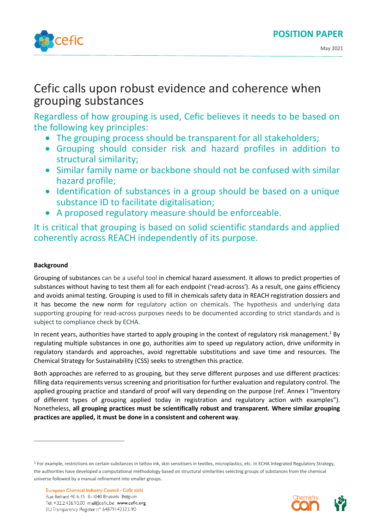

# Cefic calls upon robust evidence and coherence when grouping substances

Regardless of how grouping is used, Cefic believes it needs to be based on the following key principles:

- The grouping process should be transparent for all stakeholders;
- Grouping should consider risk and hazard profiles in addition to structural similarity;
- Similar family name or backbone should not be confused with similar hazard profile;
- Identification of substances in a group should be based on a unique substance ID to facilitate digitalisation;
- A proposed regulatory measure should be enforceable.

It is critical that grouping is based on solid scientific standards and applied coherently across REACH independently of its purpose.

# **Background**

Grouping of substances can be a useful tool in chemical hazard assessment. It allows to predict properties of substances without having to test them all for each endpoint ('read-across'). As a result, one gains efficiency and avoids animal testing. Grouping is used to fill in chemicals safety data in REACH registration dossiers and it has become the new norm for regulatory action on chemicals. The hypothesis and underlying data supporting grouping for read-across purposes needs to be documented according to strict standards and is subject to compliance check by ECHA.

In recent years, authorities have started to apply grouping in the context of regulatory risk management.<sup>1</sup> By regulating multiple substances in one go, authorities aim to speed up regulatory action, drive uniformity in regulatory standards and approaches, avoid regrettable substitutions and save time and resources. The Chemical Strategy for Sustainability (CSS) seeks to strengthen this practice.

Both approaches are referred to as grouping, but they serve different purposes and use different practices: filling data requirements versus screening and prioritisation for further evaluation and regulatory control. The applied grouping practice and standard of proof will vary depending on the purpose (ref. Annex I "Inventory of different types of grouping applied today in registration and regulatory action with examples"). Nonetheless, **all grouping practices must be scientifically robust and transparent. Where similar grouping practices are applied, it must be done in a consistent and coherent way**.

<sup>&</sup>lt;sup>1</sup> For example, restrictions on certain substances in tattoo ink, skin sensitisers in textiles, microplastics, etc. In ECHA Integrated Regulatory Strategy, the authorities have developed a computational methodology based on structural similarities selecting groups of substances from the chemical universe followed by a manual refinement into smaller groups.

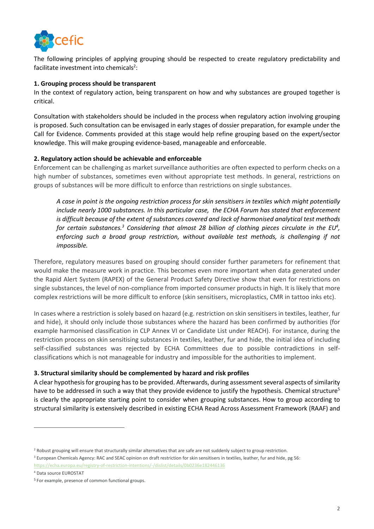

The following principles of applying grouping should be respected to create regulatory predictability and facilitate investment into chemicals<sup>2</sup>:

#### **1. Grouping process should be transparent**

In the context of regulatory action, being transparent on how and why substances are grouped together is critical.

Consultation with stakeholders should be included in the process when regulatory action involving grouping is proposed. Such consultation can be envisaged in early stages of dossier preparation, for example under the Call for Evidence. Comments provided at this stage would help refine grouping based on the expert/sector knowledge. This will make grouping evidence-based, manageable and enforceable.

### **2. Regulatory action should be achievable and enforceable**

Enforcement can be challenging as market surveillance authorities are often expected to perform checks on a high number of substances, sometimes even without appropriate test methods. In general, restrictions on groups of substances will be more difficult to enforce than restrictions on single substances.

*A case in point is the ongoing restriction process for skin sensitisers in textiles which might potentially include nearly 1000 substances. In this particular case, the ECHA Forum has stated that enforcement is difficult because of the extent of substances covered and lack of harmonised analytical test methods for certain substances.<sup>3</sup> Considering that almost 28 billion of clothing pieces circulate in the EU<sup>4</sup> , enforcing such a broad group restriction, without available test methods, is challenging if not impossible.* 

Therefore, regulatory measures based on grouping should consider further parameters for refinement that would make the measure work in practice. This becomes even more important when data generated under the Rapid Alert System (RAPEX) of the General Product Safety Directive show that even for restrictions on single substances, the level of non-compliance from imported consumer products in high. It is likely that more complex restrictions will be more difficult to enforce (skin sensitisers, microplastics, CMR in tattoo inks etc).

In cases where a restriction is solely based on hazard (e.g. restriction on skin sensitisers in textiles, leather, fur and hide), it should only include those substances where the hazard has been confirmed by authorities (for example harmonised classification in CLP Annex VI or Candidate List under REACH). For instance, during the restriction process on skin sensitising substances in textiles, leather, fur and hide, the initial idea of including self-classified substances was rejected by ECHA Committees due to possible contradictions in selfclassifications which is not manageable for industry and impossible for the authorities to implement.

# **3. Structural similarity should be complemented by hazard and risk profiles**

A clear hypothesis for grouping has to be provided. Afterwards, during assessment several aspects of similarity have to be addressed in such a way that they provide evidence to justify the hypothesis. Chemical structure<sup>5</sup> is clearly the appropriate starting point to consider when grouping substances. How to group according to structural similarity is extensively described in existing ECHA Read Across Assessment Framework (RAAF) and

<sup>&</sup>lt;sup>2</sup> Robust grouping will ensure that structurally similar alternatives that are safe are not suddenly subject to group restriction.

<sup>&</sup>lt;sup>3</sup> European Chemicals Agency: RAC and SEAC opinion on draft restriction for skin sensitisers in textiles, leather, fur and hide, pg 56: <https://echa.europa.eu/registry-of-restriction-intentions/-/dislist/details/0b0236e182446136>

<sup>4</sup> Data source EUROSTAT

<sup>5</sup> For example, presence of common functional groups.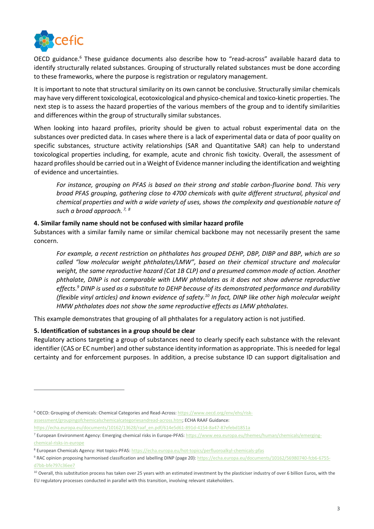

OECD guidance.<sup>6</sup> These guidance documents also describe how to "read-across" available hazard data to identify structurally related substances. Grouping of structurally related substances must be done according to these frameworks, where the purpose is registration or regulatory management.

It is important to note that structural similarity on its own cannot be conclusive. Structurally similar chemicals may have very different toxicological, ecotoxicological and physico-chemical and toxico-kinetic properties. The next step is to assess the hazard properties of the various members of the group and to identify similarities and differences within the group of structurally similar substances.

When looking into hazard profiles, priority should be given to actual robust experimental data on the substances over predicted data. In cases where there is a lack of experimental data or data of poor quality on specific substances, structure activity relationships (SAR and Quantitative SAR) can help to understand toxicological properties including, for example, acute and chronic fish toxicity. Overall, the assessment of hazard profiles should be carried out in a Weight of Evidence manner including the identification and weighting of evidence and uncertainties.

*For instance, grouping on PFAS is based on their strong and stable carbon-fluorine bond. This very broad PFAS grouping, gathering close to 4700 chemicals with quite different structural, physical and chemical properties and with a wide variety of uses, shows the complexity and questionable nature of such a broad approach. 7, 8*

### **4. Similar family name should not be confused with similar hazard profile**

Substances with a similar family name or similar chemical backbone may not necessarily present the same concern.

*For example, a recent restriction on phthalates has grouped DEHP, DBP, DIBP and BBP, which are so called "low molecular weight phthalates/LMW", based on their chemical structure and molecular weight, the same reproductive hazard (Cat 1B CLP) and a presumed common mode of action. Another phthalate, DINP is not comparable with LMW phthalates as it does not show adverse reproductive effects.<sup>9</sup> DINP is used as a substitute to DEHP because of its demonstrated performance and durability (flexible vinyl articles) and known evidence of safety. <sup>10</sup> In fact, DINP like other high molecular weight HMW phthalates does not show the same reproductive effects as LMW phthalates.* 

This example demonstrates that grouping of all phthalates for a regulatory action is not justified.

#### **5. Identification of substances in a group should be clear**

Regulatory actions targeting a group of substances need to clearly specify each substance with the relevant identifier (CAS or EC number) and other substance identity information as appropriate. Thisis needed for legal certainty and for enforcement purposes. In addition, a precise substance ID can support digitalisation and

[https://echa.europa.eu/documents/10162/13628/raaf\\_en.pdf/614e5d61-891d-4154-8a47-87efebd1851a](https://echa.europa.eu/documents/10162/13628/raaf_en.pdf/614e5d61-891d-4154-8a47-87efebd1851a)

<sup>6</sup> OECD: Grouping of chemicals: Chemical Categories and Read-Across[: https://www.oecd.org/env/ehs/risk](https://www.oecd.org/env/ehs/risk-assessment/groupingofchemicalschemicalcategoriesandread-across.htm)[assessment/groupingofchemicalschemicalcategoriesandread-across.htm;](https://www.oecd.org/env/ehs/risk-assessment/groupingofchemicalschemicalcategoriesandread-across.htm) ECHA RAAF Guidance:

<sup>7</sup> European Environment Agency: Emerging chemical risks in Europe-PFAS: [https://www.eea.europa.eu/themes/human/chemicals/emerging](https://www.eea.europa.eu/themes/human/chemicals/emerging-chemical-risks-in-europe)[chemical-risks-in-europe](https://www.eea.europa.eu/themes/human/chemicals/emerging-chemical-risks-in-europe)

<sup>8</sup> European Chemicals Agency: Hot topics-PFAS[: https://echa.europa.eu/hot-topics/perfluoroalkyl-chemicals-pfas](https://echa.europa.eu/hot-topics/perfluoroalkyl-chemicals-pfas)

<sup>9</sup> RAC opinion proposing harmonised classification and labelling DINP (page 20)[: https://echa.europa.eu/documents/10162/56980740-fcb6-6755](https://echa.europa.eu/documents/10162/56980740-fcb6-6755-d7bb-bfe797c36ee7) [d7bb-bfe797c36ee7](https://echa.europa.eu/documents/10162/56980740-fcb6-6755-d7bb-bfe797c36ee7)

<sup>&</sup>lt;sup>10</sup> Overall, this substitution process has taken over 25 years with an estimated investment by the plasticiser industry of over 6 billion Euros, with the EU regulatory processes conducted in parallel with this transition, involving relevant stakeholders.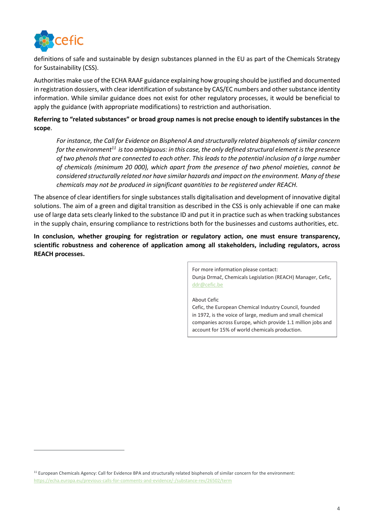

definitions of safe and sustainable by design substances planned in the EU as part of the Chemicals Strategy for Sustainability (CSS).

Authorities make use of the ECHA RAAF guidance explaining how grouping should be justified and documented in registration dossiers, with clear identification of substance by CAS/EC numbers and other substance identity information. While similar guidance does not exist for other regulatory processes, it would be beneficial to apply the guidance (with appropriate modifications) to restriction and authorisation.

# **Referring to "related substances" or broad group names is not precise enough to identify substances in the scope**.

*For instance, the Call for Evidence on Bisphenol A and structurally related bisphenols of similar concern for the environment<sup>11</sup> is too ambiguous: in this case, the only defined structural element is the presence of two phenols that are connected to each other. This leads to the potential inclusion of a large number of chemicals (minimum 20 000), which apart from the presence of two phenol moieties, cannot be considered structurally related nor have similar hazards and impact on the environment. Many of these chemicals may not be produced in significant quantities to be registered under REACH.*

The absence of clear identifiers for single substances stalls digitalisation and development of innovative digital solutions. The aim of a green and digital transition as described in the CSS is only achievable if one can make use of large data sets clearly linked to the substance ID and put it in practice such as when tracking substances in the supply chain, ensuring compliance to restrictions both for the businesses and customs authorities, etc.

**In conclusion, whether grouping for registration or regulatory action, one must ensure transparency, scientific robustness and coherence of application among all stakeholders, including regulators, across REACH processes.** 

> For more information please contact: Dunja Drmač, Chemicals Legislation (REACH) Manager, Cefic, [ddr@cefic.be](mailto:ddr@cefic.be)

> About Cefic Cefic, the European Chemical Industry Council, founded in 1972, is the voice of large, medium and small chemical companies across Europe, which provide 1.1 million jobs and account for 15% of world chemicals production.

<sup>&</sup>lt;sup>11</sup> European Chemicals Agency: Call for Evidence BPA and structurally related bisphenols of similar concern for the environment: <https://echa.europa.eu/previous-calls-for-comments-and-evidence/-/substance-rev/26502/term>